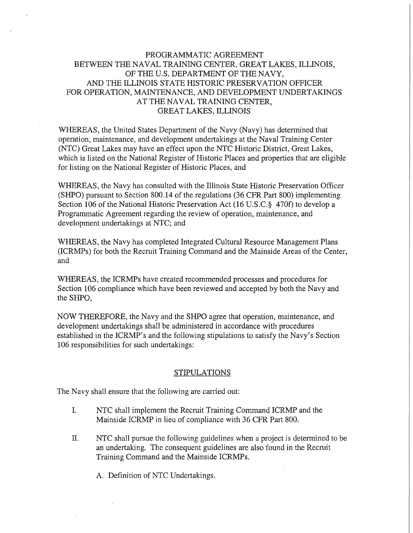## PROGRAMMATIC AGREEMENT BETWEEN THE NAVAL TRAINING CENTER, GREAT LAKES, ILLINOIS, OF THE U.S. DEPARTMENT OF THE NAVY, AND THE ILLINOIS STATE HISTORIC PRESERVATION OFFICER FOR OPERATION, MAINTENANCE, AND DEVELOPMENT UNDERTAKINGS AT THE NAVAL TRAINING CENTER, GREAT LAKES, ILLINOIS

WHEREAS, the United States Department of the Navy (Navy) has determined that operation, maintenance, and development undertakings at the Naval Training Center (NTC) Great Lakes may have an effect upon the NTC Historic District, Great Lakes, which is listed on the National Register of Historic Places and properties that are eligible for listing on the National Register of Historic Places, and

WHEREAS, the Navy has consulted with the Illinois State Historic Preservation Officer (SHPO) pursuant to Section 800.14 of the regulations (36 CPR Part 800) implementing Section 106 of the National Historic Preservation Act (16 U.S.C.§ 470f) to develop a Programmatic Agreement regarding the review of operation, maintenance, and development undertakings at NTC; and

WHEREAS, the Navy has completed Integrated Cultural Resource Management Plans (ICRMPs) for both the Recruit Training Command and the Mainside Areas of the Center, and

WHEREAS, the ICRMPs have created recommended processes and procedures for Section 106 compliance which have been reviewed and accepted by both the Navy and the SHPO,

NOW THEREFORE, the Navy and the SHPO agree that operation, maintenance, and development undertakings shall be administered in accordance with procedures established in the ICRMP's and the following stipulations to satisfy the Navy's Section 106 responsibilities for such undertakings:

## STIPULATIONS

The Navy shall ensure that the following are carried out:

- I. NTC shall implement the Recruit Training Command ICRMP and the Mainside ICRMP in lieu of compliance with 36 CPR Part 800.
- II. NTC shall pursue the following guidelines when a project is determined to be an undertaking. The consequent guidelines are also found in the Recruit Training Command and the Mainside ICRMPs.

A. Definition of NTC Undertakings.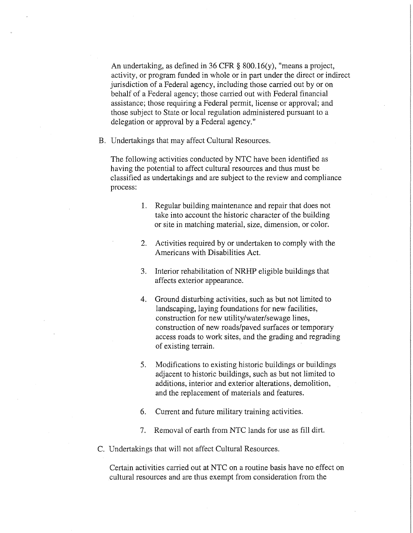An undertaking, as defined in 36 CFR § 800.16(y), "means a project, activity, or program funded in whole or in part under the direct or indirect jurisdiction of a Federal agency, including those carried out by or on behalf of a Federal agency; those carried out with Federal financial assistance; those requiring a Federal permit, license or approval; and those subject to State or local regulation administered pursuant to a delegation or approval by a Federal agency."

B. Undertakings that may affect Cultural Resources.

The following activities conducted by NTC have been identified as having the potential to affect cultural resources and thus must be classified as undertakings and are subject to the review and compliance process:

- 1. Regular building maintenance and repair that does not take into account the historic character of the building or site in matching material, size, dimension, or color.
- 2. Activities required by or undertaken to comply with the Americans with Disabilities Act.
- 3. Interior rehabilitation of **NRHP** eligible buildings that affects exterior appearance.
- 4. Ground disturbing activities, such as but not limited to landscaping, laying foundations for new facilities, construction for new utility/water/sewage lines, construction of new roads/paved surfaces or temporary access roads to work sites, and the grading and regrading of existing terrain.
- 5. Modifications to existing historic buildings or buildings adjacent to historic buildings, such as but not limited to additions, interior and exterior alterations, demolition, and the replacement of materials and features.
- 6. Current and future military training activities.
- 7. Removal of earth from NTC lands for use as fill dirt.
- C. Undertakings that will not affect Cultural Resources.

Certain activities carried out at NTC on a routine basis have no effect on cultural resources and are thus exempt from consideration from the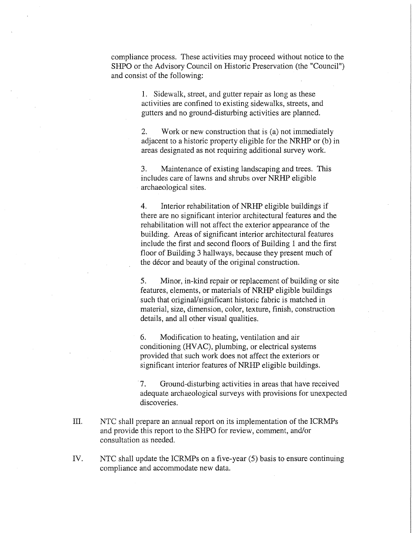compliance process. These activities may proceed without notice to the SHPO or the Advisory Council on Historic Preservation (the "Council") and consist of the following:

> 1. Sidewalk, street, and gutter repair as long as these activities are confined to existing sidewalks, streets, and gutters and no ground-disturbing activities are planned.

2. Work or new construction that is (a) not immediately adjacent to a historic property eligible for the NRHP or (b) in areas designated as not requiring additional survey work.

3. Maintenance of existing landscaping and trees. This includes care of lawns and shrubs over NRHP eligible archaeological sites.

4. Interior rehabilitation of NRHP eligible buildings if there are no significant interior architectural features and the rehabilitation will not affect the exterior appearance of the building. Areas of significant interior architectural features include the first and second floors of Building 1 and the first floor of Building 3 hallways, because they present much of the decor and beauty of the original construction.

5. Minor, in-kind repair or replacement of building or site features, elements, or materials of NRHP eligible buildings such that original/significant historic fabric is matched in material, size, dimension, color, texture, finish, construction details, and all other visual qualities.

6. Modification to heating, ventilation and air conditioning (HV AC), plumbing, or electrical systems provided that such work does not affect the exteriors or significant interior features of NRHP eligible buildings.

7. Ground-disturbing activities in areas that have received adequate archaeological surveys with provisions for unexpected discoveries.

- III. NTC shall prepare an annual report on its implementation of the ICRMPs and provide this report to the SHPO for review, comment, and/or consultation as needed.
- IV. NTC shall update the ICRMPs on a five-year (5) basis to ensure continuing compliance and accommodate new data.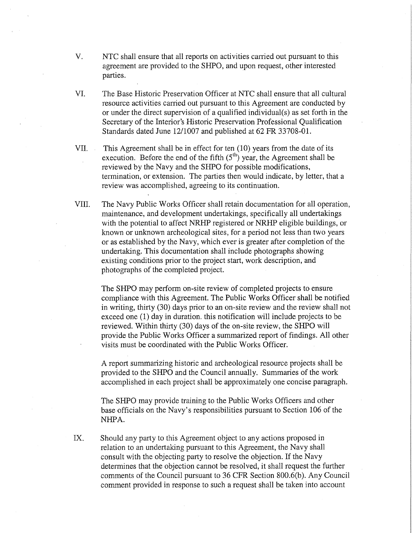- V. NTC shall ensure that all reports on activities carried out pursuant to this agreement are provided to the SHPO, and upon request, other interested parties.
- VI. The Base Historic Preservation Officer at NTC shall ensure that all cultural resource activities carried out pursuant to this Agreement are conducted by or under the direct supervision of a qualified individual(s) as set forth in the Secretary of the Interior's Historic Preservation Professional Qualification Standards dated June 12/1007 and published at 62 FR 33708-01.
- VII. This Agreement shall be in effect for ten (10) years from the date of its execution. Before the end of the fifth  $(5<sup>th</sup>)$  year, the Agreement shall be reviewed by the Navy and the SHPO for possible modifications, termination, or extension. The parties then would indicate, by letter, that a review was accomplished, agreeing to its continuation.
- VIII. The Navy Public Works Officer shall retain documentation for all operation, maintenance, and development undertakings, specifically all undertakings with the potential to affect NRHP registered or NRHP eligible buildings, or known or unknown archeological sites, for a period not less than two years or as established by the Navy, which ever is greater after completion of the undertaking. This documentation shall include photographs showing existing conditions prior to the project start, work description, and photographs of the completed project.

The SHPO may perform on-site review of completed projects to ensure compliance with this Agreement. The Public Works Officer shall be notified in writing, thirty (30) days prior to an on-site review and the review shall not exceed one (1) day in duration. this notification will include projects to be reviewed. Within thirty (30) days of the on-site review, the SHPO will provide the Public Works Officer a summarized report of findings. All other visits must be coordinated with the Public Works Officer.

A report summarizing historic and archeological resource projects shall be provided to the SHPO and the Council annually. Summaries of the work accomplished in each project shall be approximately one concise paragraph.

The SHPO may provide training to the Public Works Officers and other base officials on the Navy's responsibilities pursuant to Section 106 of the NHPA.

IX. Should any party to this Agreement object to any actions proposed in relation to an undertaking pursuant to this Agreement, the Navy shall consult with the objecting party to resolve the objection. If the Navy determines that the objection cannot be resolved, it shall request the further comments of the Council pursuant to 36 CFR Section 800.6(b). Any Council comment provided in response to such a request shall be taken into account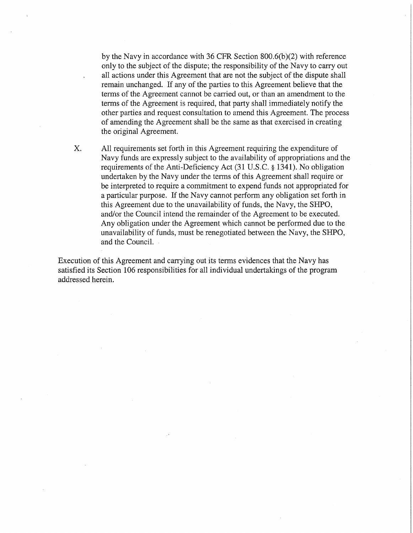by the Navy in accordance with 36 CFR Section 800.6(b)(2) with reference only to the subject of the dispute; the responsibility of the Navy to carry out all actions under this Agreement that are not the subject of the dispute shall remain unchanged. If any of the parties to this Agreement believe that the terms of the Agreement cannot be carried out, or than an amendment to the terms of the Agreement is required, that party shall immediately notify the other parties and request consultation to amend this Agreement. The process of amending the Agreement shall be the same as that exercised in creating the original Agreement.

X. All requirements set forth in this Agreement requiring the expenditure of Navy funds are expressly subject to the availability of appropriations and the requirements of the Anti-Deficiency Act (31 U.S.C. § 1341). No obligation undertaken by the Navy under the terms of this Agreement shall require or be interpreted to require a commitment to expend funds not appropriated for a particular purpose. If the Navy cannot perform any obligation set forth in this Agreement due to the unavailability of funds, the Navy, the SHPO, and/or the Council intend the remainder of the Agreement to be executed. Any obligation under the Agreement which cannot be performed due to the unavailability of funds, must be renegotiated between the Navy, the SHPO, and the Council.

Execution of this Agreement and carrying out its terms evidences that the Navy has satisfied its Section 106 responsibilities for all individual undertakings of the program addressed herein.